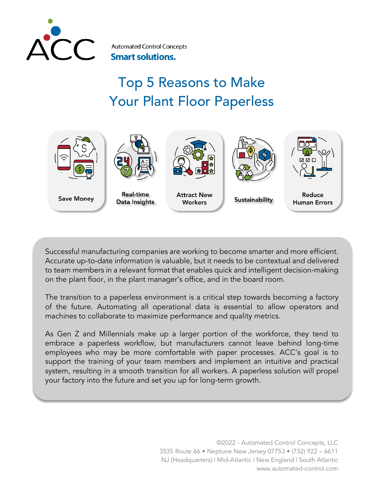

**Automated Control Concepts Smart solutions.** 

# Top 5 Reasons to Make Your Plant Floor Paperless



Successful manufacturing companies are working to become smarter and more efficient. Accurate up-to-date information is valuable, but it needs to be contextual and delivered to team members in a relevant format that enables quick and intelligent decision-making on the plant floor, in the plant manager's office, and in the board room.

The transition to a paperless environment is a critical step towards becoming a factory of the future. Automating all operational data is essential to allow operators and machines to collaborate to maximize performance and quality metrics.

As Gen Z and Millennials make up a larger portion of the workforce, they tend to embrace a paperless workflow, but manufacturers cannot leave behind long-time employees who may be more comfortable with paper processes. ACC's goal is to support the training of your team members and implement an intuitive and practical system, resulting in a smooth transition for all workers. A paperless solution will propel your factory into the future and set you up for long-term growth.

> ©2022 - Automated Control Concepts, LLC 3535 Route 66 • Neptune New Jersey 07753 • (732) 922 – 6611 NJ (Headquarters) | Mid-Atlantic | New England | South Atlantic www.automated-control.com